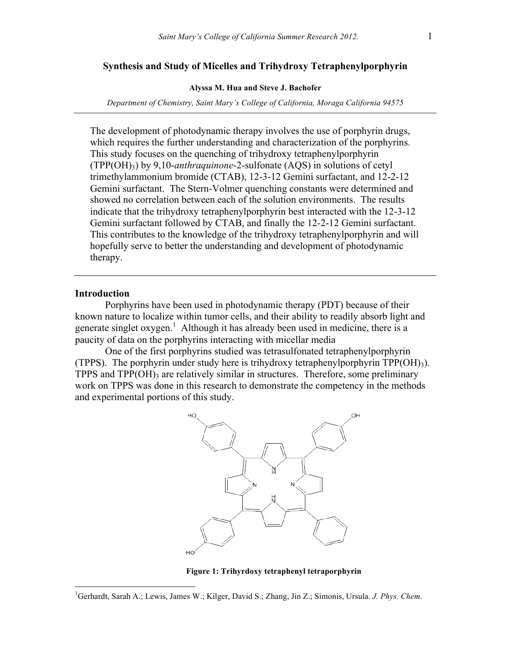## **Synthesis and Study of Micelles and Trihydroxy Tetraphenylporphyrin**

#### **Alyssa M. Hua and Steve J. Bachofer**

*Department of Chemistry, Saint Mary's College of California, Moraga California 94575*

The development of photodynamic therapy involves the use of porphyrin drugs, which requires the further understanding and characterization of the porphyrins. This study focuses on the quenching of trihydroxy tetraphenylporphyrin (TPP(OH)3) by 9,10-*anthraquinone*-2-sulfonate (AQS) in solutions of cetyl trimethylammonium bromide (CTAB), 12-3-12 Gemini surfactant, and 12-2-12 Gemini surfactant. The Stern-Volmer quenching constants were determined and showed no correlation between each of the solution environments. The results indicate that the trihydroxy tetraphenylporphyrin best interacted with the 12-3-12 Gemini surfactant followed by CTAB, and finally the 12-2-12 Gemini surfactant. This contributes to the knowledge of the trihydroxy tetraphenylporphyrin and will hopefully serve to better the understanding and development of photodynamic therapy.

### **Introduction**

Porphyrins have been used in photodynamic therapy (PDT) because of their known nature to localize within tumor cells, and their ability to readily absorb light and generate singlet oxygen.<sup>1</sup> Although it has already been used in medicine, there is a paucity of data on the porphyrins interacting with micellar media

One of the first porphyrins studied was tetrasulfonated tetraphenylporphyrin (TPPS). The porphyrin under study here is trihydroxy tetraphenylporphyrin TPP(OH)3). TPPS and  $TPP(OH)$ <sub>3</sub> are relatively similar in structures. Therefore, some preliminary work on TPPS was done in this research to demonstrate the competency in the methods and experimental portions of this study.



**Figure 1: Trihyrdoxy tetraphenyl tetraporphyrin**

 $\frac{1}{1}$ <sup>1</sup>Gerhardt, Sarah A.; Lewis, James W.; Kilger, David S.; Zhang, Jin Z.; Simonis, Ursula. *J. Phys. Chem.*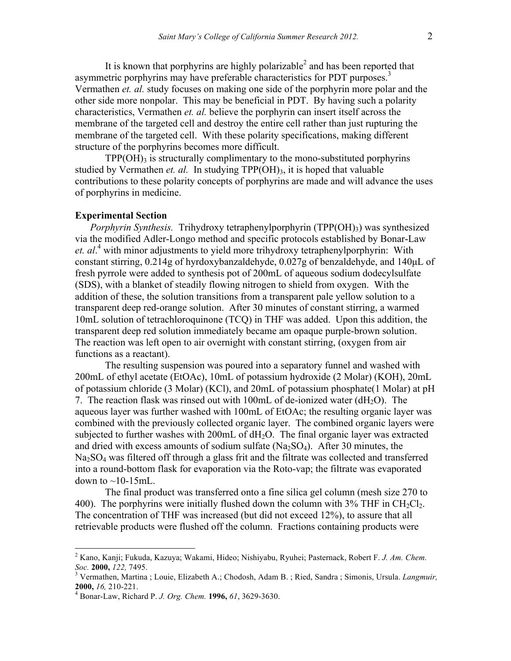It is known that porphyrins are highly polarizable<sup>2</sup> and has been reported that asymmetric porphyrins may have preferable characteristics for PDT purposes.<sup>3</sup> Vermathen *et. al.* study focuses on making one side of the porphyrin more polar and the other side more nonpolar. This may be beneficial in PDT. By having such a polarity characteristics, Vermathen *et. al.* believe the porphyrin can insert itself across the membrane of the targeted cell and destroy the entire cell rather than just rupturing the membrane of the targeted cell. With these polarity specifications, making different structure of the porphyrins becomes more difficult.

 $TPP(OH)$ <sub>3</sub> is structurally complimentary to the mono-substituted porphyrins studied by Vermathen *et. al.* In studying  $TPP(OH)_{3}$ , it is hoped that valuable contributions to these polarity concepts of porphyrins are made and will advance the uses of porphyrins in medicine.

### **Experimental Section**

*Porphyrin Synthesis.* Trihydroxy tetraphenylporphyrin (TPP(OH)3) was synthesized via the modified Adler-Longo method and specific protocols established by Bonar-Law *et. al*. <sup>4</sup> with minor adjustments to yield more trihydroxy tetraphenylporphyrin: With constant stirring, 0.214g of hyrdoxybanzaldehyde, 0.027g of benzaldehyde, and 140µL of fresh pyrrole were added to synthesis pot of 200mL of aqueous sodium dodecylsulfate (SDS), with a blanket of steadily flowing nitrogen to shield from oxygen. With the addition of these, the solution transitions from a transparent pale yellow solution to a transparent deep red-orange solution. After 30 minutes of constant stirring, a warmed 10mL solution of tetrachloroquinone (TCQ) in THF was added. Upon this addition, the transparent deep red solution immediately became am opaque purple-brown solution. The reaction was left open to air overnight with constant stirring, (oxygen from air functions as a reactant).

The resulting suspension was poured into a separatory funnel and washed with 200mL of ethyl acetate (EtOAc), 10mL of potassium hydroxide (2 Molar) (KOH), 20mL of potassium chloride (3 Molar) (KCl), and 20mL of potassium phosphate(1 Molar) at pH 7. The reaction flask was rinsed out with  $100$ mL of de-ionized water (dH<sub>2</sub>O). The aqueous layer was further washed with 100mL of EtOAc; the resulting organic layer was combined with the previously collected organic layer. The combined organic layers were subjected to further washes with  $200 \text{m}$  of  $dH_2O$ . The final organic layer was extracted and dried with excess amounts of sodium sulfate  $(Na<sub>2</sub>SO<sub>4</sub>)$ . After 30 minutes, the Na<sub>2</sub>SO<sub>4</sub> was filtered off through a glass frit and the filtrate was collected and transferred into a round-bottom flask for evaporation via the Roto-vap; the filtrate was evaporated down to  $\sim$ 10-15mL.

The final product was transferred onto a fine silica gel column (mesh size 270 to 400). The porphyrins were initially flushed down the column with  $3\%$  THF in CH<sub>2</sub>Cl<sub>2</sub>. The concentration of THF was increased (but did not exceed 12%), to assure that all retrievable products were flushed off the column. Fractions containing products were

 <sup>2</sup> Kano, Kanji; Fukuda, Kazuya; Wakami, Hideo; Nishiyabu, Ryuhei; Pasternack, Robert F. *J. Am. Chem.* 

<sup>&</sup>lt;sup>3</sup> Vermathen, Martina ; Louie, Elizabeth A.; Chodosh, Adam B. ; Ried, Sandra ; Simonis, Ursula. *Langmuir*, **2000**, *16*, 210-221.

**<sup>2000,</sup>** *16,* 210-221. <sup>4</sup> Bonar-Law, Richard P. *J. Org. Chem.* **1996,** *61*, 3629-3630.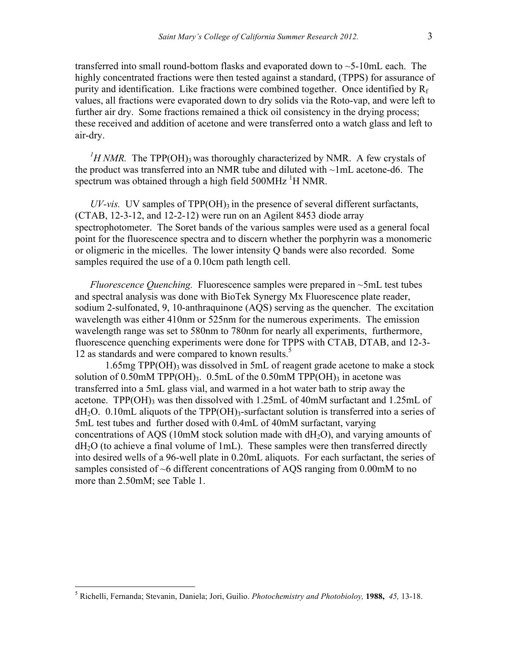transferred into small round-bottom flasks and evaporated down to ~5-10mL each. The highly concentrated fractions were then tested against a standard, (TPPS) for assurance of purity and identification. Like fractions were combined together. Once identified by  $R_f$ values, all fractions were evaporated down to dry solids via the Roto-vap, and were left to further air dry. Some fractions remained a thick oil consistency in the drying process; these received and addition of acetone and were transferred onto a watch glass and left to air-dry.

 $^{1}$ H NMR. The TPP(OH)<sub>3</sub> was thoroughly characterized by NMR. A few crystals of the product was transferred into an NMR tube and diluted with ~1mL acetone-d6. The spectrum was obtained through a high field 500MHz <sup>1</sup>H NMR.

 $UV\text{-}vis.$  UV samples of TPP(OH)<sub>3</sub> in the presence of several different surfactants, (CTAB, 12-3-12, and 12-2-12) were run on an Agilent 8453 diode array spectrophotometer. The Soret bands of the various samples were used as a general focal point for the fluorescence spectra and to discern whether the porphyrin was a monomeric or oligmeric in the micelles. The lower intensity Q bands were also recorded. Some samples required the use of a 0.10cm path length cell.

*Fluorescence Quenching.* Fluorescence samples were prepared in ~5mL test tubes and spectral analysis was done with BioTek Synergy Mx Fluorescence plate reader, sodium 2-sulfonated, 9, 10-anthraquinone (AQS) serving as the quencher. The excitation wavelength was either 410nm or 525nm for the numerous experiments. The emission wavelength range was set to 580nm to 780nm for nearly all experiments, furthermore, fluorescence quenching experiments were done for TPPS with CTAB, DTAB, and 12-3- 12 as standards and were compared to known results.<sup>5</sup>

 $1.65mg$  TPP(OH)<sub>3</sub> was dissolved in 5mL of reagent grade acetone to make a stock solution of 0.50mM TPP(OH)<sub>3</sub>. 0.5mL of the 0.50mM TPP(OH)<sub>3</sub> in acetone was transferred into a 5mL glass vial, and warmed in a hot water bath to strip away the acetone. TPP(OH) $_3$  was then dissolved with 1.25mL of 40mM surfactant and 1.25mL of  $dH_2O.$  0.10mL aliquots of the TPP(OH)<sub>3</sub>-surfactant solution is transferred into a series of 5mL test tubes and further dosed with 0.4mL of 40mM surfactant, varying concentrations of AQS (10mM stock solution made with  $dH_2O$ ), and varying amounts of dH2O (to achieve a final volume of 1mL). These samples were then transferred directly into desired wells of a 96-well plate in 0.20mL aliquots. For each surfactant, the series of samples consisted of ~6 different concentrations of AQS ranging from 0.00mM to no more than 2.50mM; see Table 1.

 <sup>5</sup> Richelli, Fernanda; Stevanin, Daniela; Jori, Guilio. *Photochemistry and Photobioloy,* **1988,** *45,* 13-18.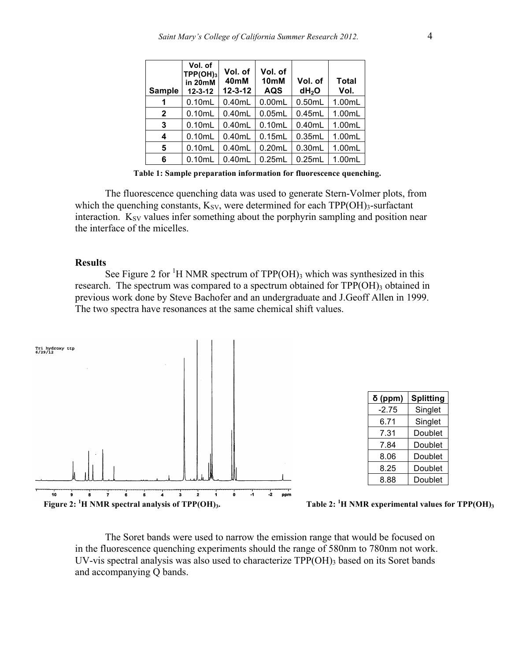| <b>Sample</b> | Vol. of<br>TPP(OH) <sub>3</sub><br>in 20mM<br>$12 - 3 - 12$ | Vol. of<br>40 <sub>mM</sub><br>$12 - 3 - 12$ | Vol. of<br>10 <sub>mM</sub><br><b>AQS</b> | Vol. of<br>dH <sub>2</sub> O | <b>Total</b><br>Vol. |
|---------------|-------------------------------------------------------------|----------------------------------------------|-------------------------------------------|------------------------------|----------------------|
| 1             | 0.10mL                                                      | 0.40mL                                       | 0.00mL                                    | 0.50mL                       | 1.00mL               |
| $\mathbf{2}$  | 0.10mL                                                      | 0.40mL                                       | 0.05mL                                    | 0.45mL                       | 1.00mL               |
| 3             | 0.10mL                                                      | 0.40mL                                       | 0.10mL                                    | 0.40mL                       | 1.00mL               |
| 4             | 0.10mL                                                      | 0.40mL                                       | 0.15mL                                    | 0.35mL                       | 1.00mL               |
| 5             | 0.10mL                                                      | 0.40mL                                       | 0.20mL                                    | 0.30mL                       | 1.00mL               |
| 6             | 0.10mL                                                      | 0.40mL                                       | 0.25mL                                    | 0.25mL                       | 1.00mL               |

**Table 1: Sample preparation information for fluorescence quenching.**

The fluorescence quenching data was used to generate Stern-Volmer plots, from which the quenching constants,  $K_{SV}$ , were determined for each TPP(OH)<sub>3</sub>-surfactant interaction.  $K_{SV}$  values infer something about the porphyrin sampling and position near the interface of the micelles.

#### **Results**

See Figure 2 for <sup>1</sup>H NMR spectrum of  $TPP(OH)$ <sub>3</sub> which was synthesized in this research. The spectrum was compared to a spectrum obtained for TPP(OH)3 obtained in previous work done by Steve Bachofer and an undergraduate and J.Geoff Allen in 1999. The two spectra have resonances at the same chemical shift values.



| $\delta$ (ppm) | <b>Splitting</b> |  |
|----------------|------------------|--|
| -2.75          | Singlet          |  |
| 6.71           | Singlet          |  |
| 7.31           | Doublet          |  |
| 7.84           | Doublet          |  |
| 8.06           | Doublet          |  |
| 8.25           | Doublet          |  |
| 8.88           | Doublet          |  |
|                |                  |  |



The Soret bands were used to narrow the emission range that would be focused on in the fluorescence quenching experiments should the range of 580nm to 780nm not work. UV-vis spectral analysis was also used to characterize  $TPP(OH)$ <sub>3</sub> based on its Soret bands and accompanying Q bands.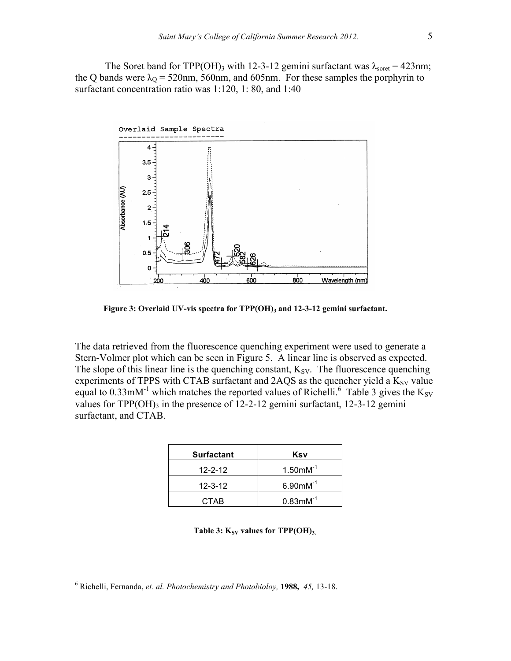The Soret band for TPP(OH)<sub>3</sub> with 12-3-12 gemini surfactant was  $\lambda_{\text{sort}} = 423 \text{nm}$ ; the Q bands were  $\lambda_{\text{Q}}$  = 520nm, 560nm, and 605nm. For these samples the porphyrin to surfactant concentration ratio was 1:120, 1: 80, and 1:40



**Figure 3: Overlaid UV-vis spectra for TPP(OH)3 and 12-3-12 gemini surfactant.**

The data retrieved from the fluorescence quenching experiment were used to generate a Stern-Volmer plot which can be seen in Figure 5. A linear line is observed as expected. The slope of this linear line is the quenching constant,  $K_{SV}$ . The fluorescence quenching experiments of TPPS with CTAB surfactant and  $2AQS$  as the quencher yield a  $K_{SV}$  value equal to 0.33mM<sup>-1</sup> which matches the reported values of Richelli.<sup>6</sup> Table 3 gives the K<sub>SV</sub> values for TPP(OH)<sub>3</sub> in the presence of  $12-2-12$  gemini surfactant,  $12-3-12$  gemini surfactant, and CTAB.

| <b>Surfactant</b> | Ksv                     |
|-------------------|-------------------------|
| $12 - 2 - 12$     | $1.50$ mM <sup>-1</sup> |
| $12 - 3 - 12$     | $6.90$ mM <sup>-1</sup> |
| CTAB              | $0.83$ m $M^{-1}$       |

**Table 3:**  $K_{SV}$  **values for TPP(OH)**<sub>3.</sub>

 <sup>6</sup> Richelli, Fernanda, *et. al. Photochemistry and Photobioloy,* **1988,** *45,* 13-18.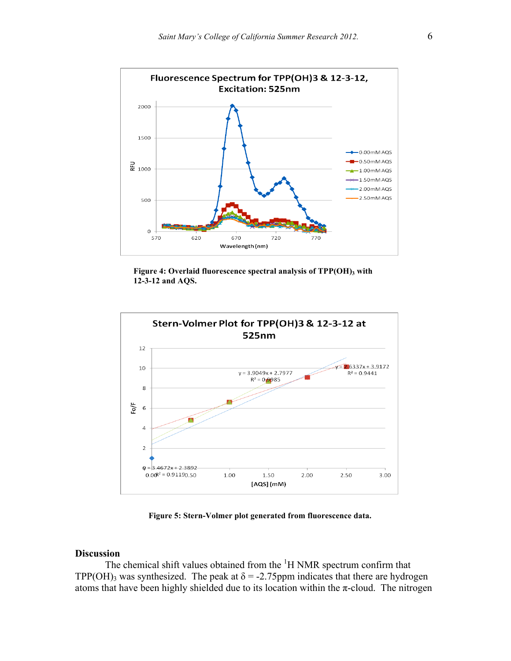

**Figure 4: Overlaid fluorescence spectral analysis of TPP(OH)3 with 12-3-12 and AQS.**



**Figure 5: Stern-Volmer plot generated from fluorescence data.**

# **Discussion**

The chemical shift values obtained from the  ${}^{1}H$  NMR spectrum confirm that TPP(OH)<sub>3</sub> was synthesized. The peak at  $\delta$  = -2.75ppm indicates that there are hydrogen atoms that have been highly shielded due to its location within the  $\pi$ -cloud. The nitrogen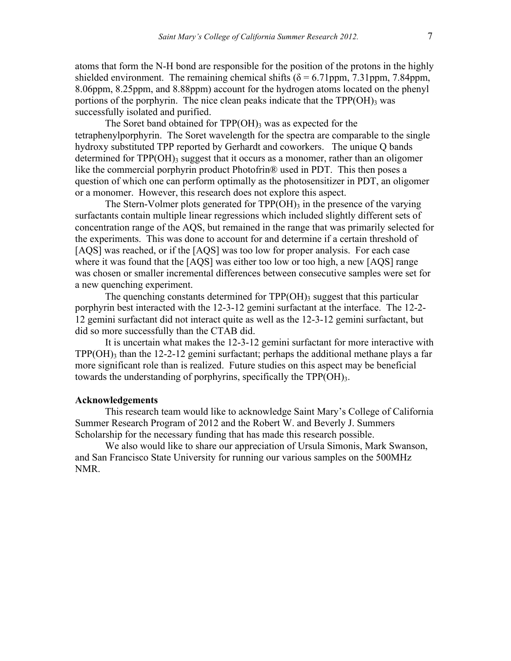atoms that form the N-H bond are responsible for the position of the protons in the highly shielded environment. The remaining chemical shifts ( $\delta$  = 6.71ppm, 7.31ppm, 7.84ppm, 8.06ppm, 8.25ppm, and 8.88ppm) account for the hydrogen atoms located on the phenyl portions of the porphyrin. The nice clean peaks indicate that the  $TPP(OH)$ <sub>3</sub> was successfully isolated and purified.

The Soret band obtained for  $TPP(OH)$ <sub>3</sub> was as expected for the tetraphenylporphyrin. The Soret wavelength for the spectra are comparable to the single hydroxy substituted TPP reported by Gerhardt and coworkers. The unique Q bands determined for  $TPP(OH)$ <sub>3</sub> suggest that it occurs as a monomer, rather than an oligomer like the commercial porphyrin product Photofrin® used in PDT. This then poses a question of which one can perform optimally as the photosensitizer in PDT, an oligomer or a monomer. However, this research does not explore this aspect.

The Stern-Volmer plots generated for  $TPP(OH)$ <sub>3</sub> in the presence of the varying surfactants contain multiple linear regressions which included slightly different sets of concentration range of the AQS, but remained in the range that was primarily selected for the experiments. This was done to account for and determine if a certain threshold of [AQS] was reached, or if the [AQS] was too low for proper analysis. For each case where it was found that the [AQS] was either too low or too high, a new [AQS] range was chosen or smaller incremental differences between consecutive samples were set for a new quenching experiment.

The quenching constants determined for  $TPP(OH)$ <sub>3</sub> suggest that this particular porphyrin best interacted with the 12-3-12 gemini surfactant at the interface. The 12-2- 12 gemini surfactant did not interact quite as well as the 12-3-12 gemini surfactant, but did so more successfully than the CTAB did.

It is uncertain what makes the 12-3-12 gemini surfactant for more interactive with  $TPP(OH)$ <sub>3</sub> than the 12-2-12 gemini surfactant; perhaps the additional methane plays a far more significant role than is realized. Future studies on this aspect may be beneficial towards the understanding of porphyrins, specifically the  $TPP(OH)_{3}$ .

## **Acknowledgements**

This research team would like to acknowledge Saint Mary's College of California Summer Research Program of 2012 and the Robert W. and Beverly J. Summers Scholarship for the necessary funding that has made this research possible.

We also would like to share our appreciation of Ursula Simonis, Mark Swanson, and San Francisco State University for running our various samples on the 500MHz NMR.